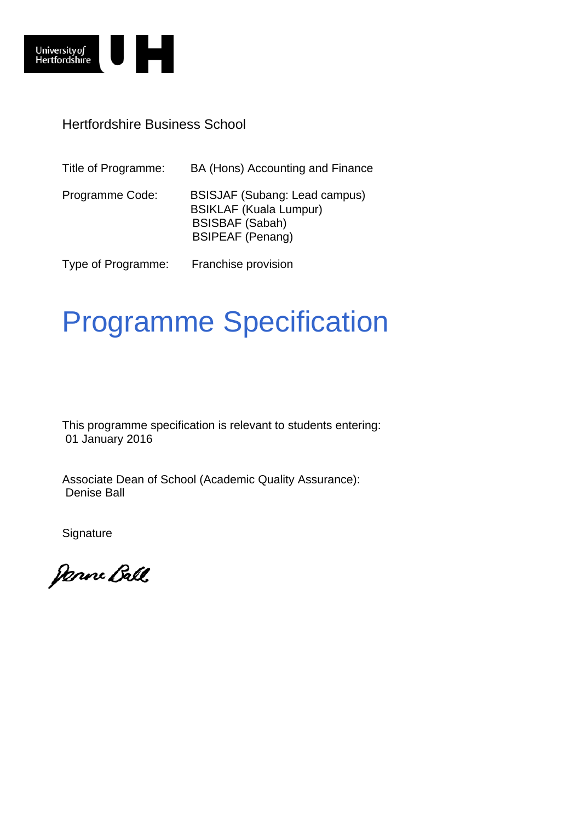

### Hertfordshire Business School

| Title of Programme: | BA (Hons) Accounting and Finance                                                                                           |
|---------------------|----------------------------------------------------------------------------------------------------------------------------|
| Programme Code:     | <b>BSISJAF (Subang: Lead campus)</b><br><b>BSIKLAF (Kuala Lumpur)</b><br><b>BSISBAF (Sabah)</b><br><b>BSIPEAF (Penang)</b> |
| Type of Programme:  | Franchise provision                                                                                                        |

# Programme Specification

This programme specification is relevant to students entering: 01 January 2016

Associate Dean of School (Academic Quality Assurance): Denise Ball

**Signature** 

Janne Ball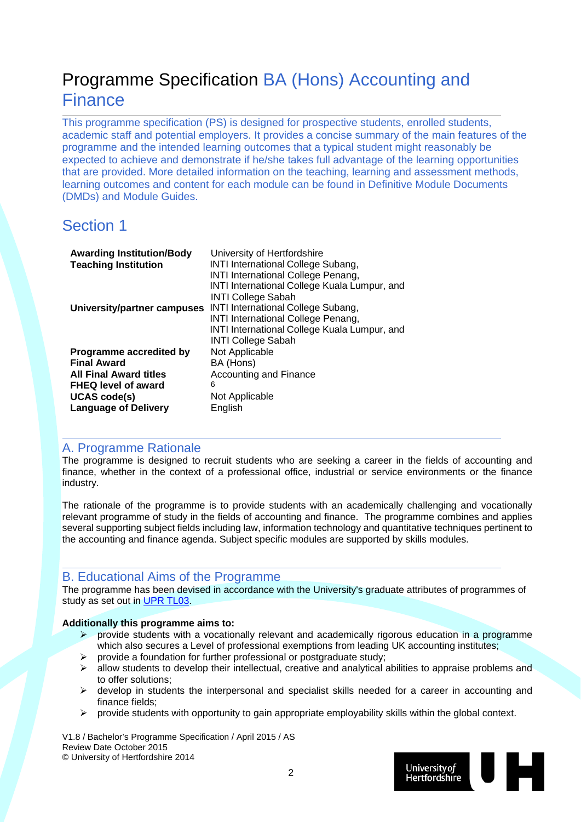## Programme Specification BA (Hons) Accounting and **Finance**

This programme specification (PS) is designed for prospective students, enrolled students, academic staff and potential employers. It provides a concise summary of the main features of the programme and the intended learning outcomes that a typical student might reasonably be expected to achieve and demonstrate if he/she takes full advantage of the learning opportunities that are provided. More detailed information on the teaching, learning and assessment methods, learning outcomes and content for each module can be found in Definitive Module Documents (DMDs) and Module Guides.

### Section 1

| <b>Awarding Institution/Body</b><br><b>Teaching Institution</b> | University of Hertfordshire<br><b>INTI International College Subang,</b><br><b>INTI International College Penang,</b><br>INTI International College Kuala Lumpur, and<br><b>INTI College Sabah</b> |
|-----------------------------------------------------------------|----------------------------------------------------------------------------------------------------------------------------------------------------------------------------------------------------|
| University/partner campuses                                     | <b>INTI International College Subang,</b>                                                                                                                                                          |
|                                                                 | <b>INTI International College Penang,</b>                                                                                                                                                          |
|                                                                 | INTI International College Kuala Lumpur, and                                                                                                                                                       |
|                                                                 | <b>INTI College Sabah</b>                                                                                                                                                                          |
| Programme accredited by                                         | Not Applicable                                                                                                                                                                                     |
| <b>Final Award</b>                                              | BA (Hons)                                                                                                                                                                                          |
| <b>All Final Award titles</b>                                   | <b>Accounting and Finance</b>                                                                                                                                                                      |
| <b>FHEQ level of award</b>                                      | 6                                                                                                                                                                                                  |
| <b>UCAS code(s)</b>                                             | Not Applicable                                                                                                                                                                                     |
| <b>Language of Delivery</b>                                     | English                                                                                                                                                                                            |

### A. Programme Rationale

The programme is designed to recruit students who are seeking a career in the fields of accounting and finance, whether in the context of a professional office, industrial or service environments or the finance industry.

The rationale of the programme is to provide students with an academically challenging and vocationally relevant programme of study in the fields of accounting and finance. The programme combines and applies several supporting subject fields including law, information technology and quantitative techniques pertinent to the accounting and finance agenda. Subject specific modules are supported by skills modules.

### B. Educational Aims of the Programme

The programme has been devised in accordance with the University's graduate attributes of programmes of study as set out in UPR TL03.

#### **Additionally this programme aims to:**

- provide students with a vocationally relevant and academically rigorous education in a programme which also secures a Level of professional exemptions from leading UK accounting institutes;
- provide a foundation for further professional or postgraduate study;
- $\triangleright$  allow students to develop their intellectual, creative and analytical abilities to appraise problems and to offer solutions;
- $\triangleright$  develop in students the interpersonal and specialist skills needed for a career in accounting and finance fields;
- $\triangleright$  provide students with opportunity to gain appropriate employability skills within the global context.

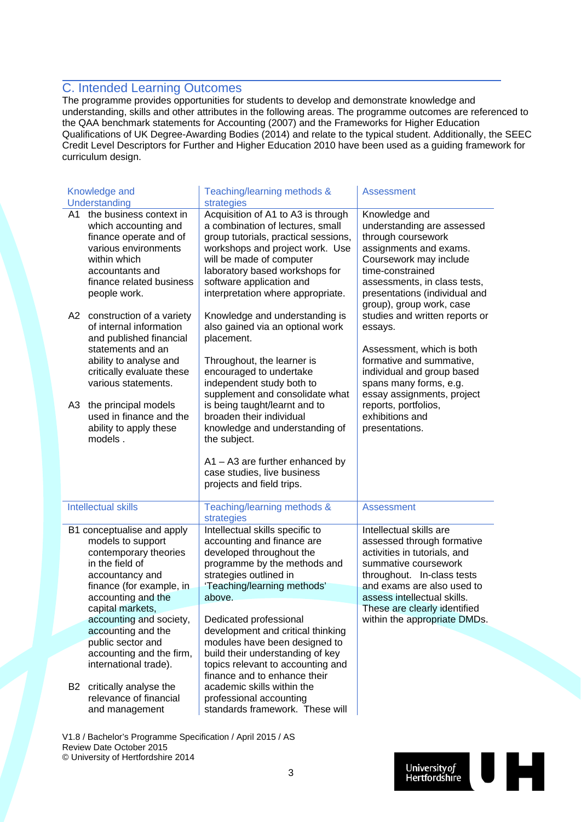### C. Intended Learning Outcomes

The programme provides opportunities for students to develop and demonstrate knowledge and understanding, skills and other attributes in the following areas. The programme outcomes are referenced to the QAA benchmark statements for Accounting (2007) and the Frameworks for Higher Education Qualifications of UK Degree-Awarding Bodies (2014) and relate to the typical student. Additionally, the SEEC Credit Level Descriptors for Further and Higher Education 2010 have been used as a guiding framework for curriculum design.

|          | Knowledge and                                                                                                                                                                                              | Teaching/learning methods &                                                                                                                                                                                                                                                      | <b>Assessment</b>                                                                                                                                                                                                                        |
|----------|------------------------------------------------------------------------------------------------------------------------------------------------------------------------------------------------------------|----------------------------------------------------------------------------------------------------------------------------------------------------------------------------------------------------------------------------------------------------------------------------------|------------------------------------------------------------------------------------------------------------------------------------------------------------------------------------------------------------------------------------------|
|          | Understanding                                                                                                                                                                                              | strategies                                                                                                                                                                                                                                                                       |                                                                                                                                                                                                                                          |
| A1.      | the business context in<br>which accounting and<br>finance operate and of<br>various environments<br>within which<br>accountants and<br>finance related business<br>people work.                           | Acquisition of A1 to A3 is through<br>a combination of lectures, small<br>group tutorials, practical sessions,<br>workshops and project work. Use<br>will be made of computer<br>laboratory based workshops for<br>software application and<br>interpretation where appropriate. | Knowledge and<br>understanding are assessed<br>through coursework<br>assignments and exams.<br>Coursework may include<br>time-constrained<br>assessments, in class tests,<br>presentations (individual and<br>group), group work, case   |
| A2<br>A3 | construction of a variety<br>of internal information<br>and published financial<br>statements and an<br>ability to analyse and<br>critically evaluate these<br>various statements.<br>the principal models | Knowledge and understanding is<br>also gained via an optional work<br>placement.<br>Throughout, the learner is<br>encouraged to undertake<br>independent study both to<br>supplement and consolidate what<br>is being taught/learnt and to                                       | studies and written reports or<br>essays.<br>Assessment, which is both<br>formative and summative,<br>individual and group based<br>spans many forms, e.g.<br>essay assignments, project<br>reports, portfolios,                         |
|          | used in finance and the<br>ability to apply these<br>models.                                                                                                                                               | broaden their individual<br>knowledge and understanding of<br>the subject.<br>$A1 - A3$ are further enhanced by<br>case studies, live business<br>projects and field trips.                                                                                                      | exhibitions and<br>presentations.                                                                                                                                                                                                        |
|          | <b>Intellectual skills</b>                                                                                                                                                                                 | Teaching/learning methods &<br>strategies                                                                                                                                                                                                                                        | <b>Assessment</b>                                                                                                                                                                                                                        |
|          | B1 conceptualise and apply<br>models to support<br>contemporary theories<br>in the field of<br>accountancy and<br>finance (for example, in<br>accounting and the<br>capital markets,                       | Intellectual skills specific to<br>accounting and finance are<br>developed throughout the<br>programme by the methods and<br>strategies outlined in<br>'Teaching/learning methods'<br>above.                                                                                     | Intellectual skills are<br>assessed through formative<br>activities in tutorials, and<br>summative coursework<br>throughout. In-class tests<br>and exams are also used to<br>assess intellectual skills.<br>These are clearly identified |
|          | accounting and society,<br>accounting and the                                                                                                                                                              | Dedicated professional<br>development and critical thinking                                                                                                                                                                                                                      | within the appropriate DMDs.                                                                                                                                                                                                             |
|          | public sector and<br>accounting and the firm,                                                                                                                                                              | modules have been designed to<br>build their understanding of key                                                                                                                                                                                                                |                                                                                                                                                                                                                                          |
| B2       | international trade).<br>critically analyse the<br>relevance of financial<br>and management                                                                                                                | topics relevant to accounting and<br>finance and to enhance their<br>academic skills within the<br>professional accounting<br>standards framework. These will                                                                                                                    |                                                                                                                                                                                                                                          |

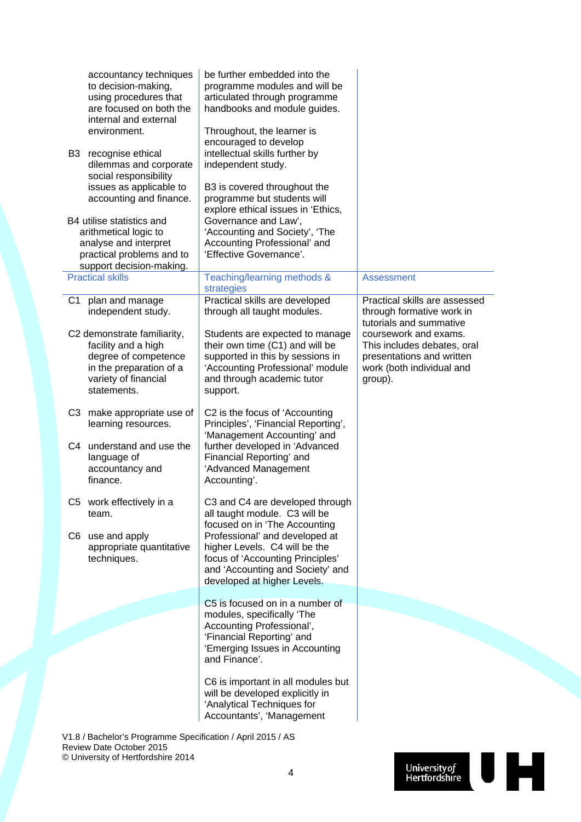| accountancy techniques<br>to decision-making,<br>using procedures that<br>are focused on both the<br>internal and external<br>environment.<br>B3<br>recognise ethical<br>dilemmas and corporate<br>social responsibility<br>issues as applicable to<br>accounting and finance.<br>B4 utilise statistics and<br>arithmetical logic to<br>analyse and interpret<br>practical problems and to<br>support decision-making. | be further embedded into the<br>programme modules and will be<br>articulated through programme<br>handbooks and module guides.<br>Throughout, the learner is<br>encouraged to develop<br>intellectual skills further by<br>independent study.<br>B3 is covered throughout the<br>programme but students will<br>explore ethical issues in 'Ethics,<br>Governance and Law',<br>'Accounting and Society', 'The<br>Accounting Professional' and<br>'Effective Governance'. |                                                                                                                           |
|------------------------------------------------------------------------------------------------------------------------------------------------------------------------------------------------------------------------------------------------------------------------------------------------------------------------------------------------------------------------------------------------------------------------|-------------------------------------------------------------------------------------------------------------------------------------------------------------------------------------------------------------------------------------------------------------------------------------------------------------------------------------------------------------------------------------------------------------------------------------------------------------------------|---------------------------------------------------------------------------------------------------------------------------|
| <b>Practical skills</b>                                                                                                                                                                                                                                                                                                                                                                                                | Teaching/learning methods &<br>strategies                                                                                                                                                                                                                                                                                                                                                                                                                               | <b>Assessment</b>                                                                                                         |
| plan and manage<br>C1<br>independent study.                                                                                                                                                                                                                                                                                                                                                                            | Practical skills are developed<br>through all taught modules.                                                                                                                                                                                                                                                                                                                                                                                                           | Practical skills are assessed<br>through formative work in<br>tutorials and summative                                     |
| C2 demonstrate familiarity,<br>facility and a high<br>degree of competence<br>in the preparation of a<br>variety of financial<br>statements.                                                                                                                                                                                                                                                                           | Students are expected to manage<br>their own time (C1) and will be<br>supported in this by sessions in<br>'Accounting Professional' module<br>and through academic tutor<br>support.                                                                                                                                                                                                                                                                                    | coursework and exams.<br>This includes debates, oral<br>presentations and written<br>work (both individual and<br>group). |
| C3 make appropriate use of<br>learning resources.                                                                                                                                                                                                                                                                                                                                                                      | C2 is the focus of 'Accounting<br>Principles', 'Financial Reporting',<br>'Management Accounting' and                                                                                                                                                                                                                                                                                                                                                                    |                                                                                                                           |
| C4 understand and use the<br>language of<br>accountancy and<br>finance.                                                                                                                                                                                                                                                                                                                                                | further developed in 'Advanced<br>Financial Reporting' and<br>'Advanced Management<br>Accounting'.                                                                                                                                                                                                                                                                                                                                                                      |                                                                                                                           |
| C5 work effectively in a<br>team.                                                                                                                                                                                                                                                                                                                                                                                      | C3 and C4 are developed through<br>all taught module. C3 will be<br>focused on in 'The Accounting                                                                                                                                                                                                                                                                                                                                                                       |                                                                                                                           |
| C6 use and apply<br>appropriate quantitative<br>techniques.                                                                                                                                                                                                                                                                                                                                                            | Professional' and developed at<br>higher Levels. C4 will be the<br>focus of 'Accounting Principles'<br>and 'Accounting and Society' and<br>developed at higher Levels.                                                                                                                                                                                                                                                                                                  |                                                                                                                           |
|                                                                                                                                                                                                                                                                                                                                                                                                                        | C5 is focused on in a number of<br>modules, specifically 'The                                                                                                                                                                                                                                                                                                                                                                                                           |                                                                                                                           |
|                                                                                                                                                                                                                                                                                                                                                                                                                        | Accounting Professional',<br>'Financial Reporting' and<br>'Emerging Issues in Accounting<br>and Finance'.                                                                                                                                                                                                                                                                                                                                                               |                                                                                                                           |
|                                                                                                                                                                                                                                                                                                                                                                                                                        | C6 is important in all modules but<br>will be developed explicitly in<br>'Analytical Techniques for<br>Accountants', 'Management                                                                                                                                                                                                                                                                                                                                        |                                                                                                                           |
| V1.8 / Bachelor's Programme Specification / April 2015 / AS<br>Review Date October 2015                                                                                                                                                                                                                                                                                                                                |                                                                                                                                                                                                                                                                                                                                                                                                                                                                         |                                                                                                                           |

© University of Hertfordshire 2014

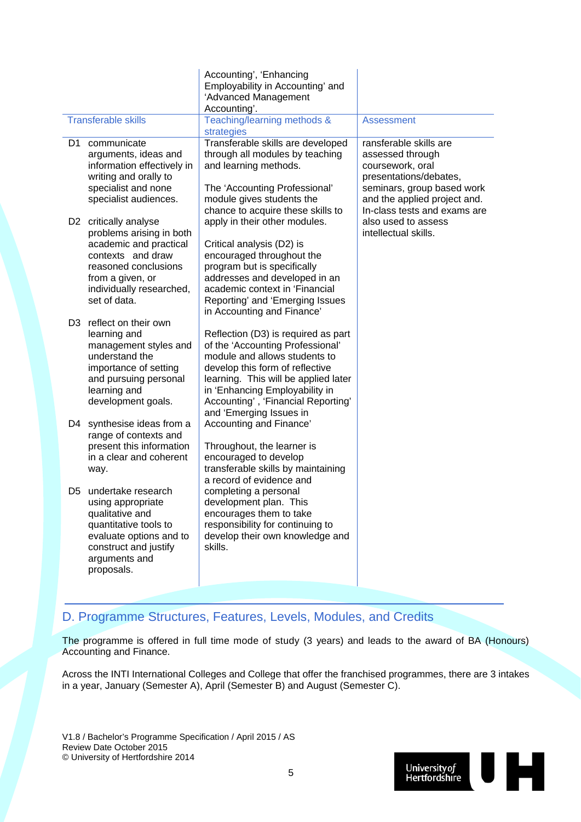|                |                                                                                                                                                                                          | Accounting', 'Enhancing<br>Employability in Accounting' and<br>'Advanced Management                                                                                                                                                                                                             |                                                                                                                                                        |
|----------------|------------------------------------------------------------------------------------------------------------------------------------------------------------------------------------------|-------------------------------------------------------------------------------------------------------------------------------------------------------------------------------------------------------------------------------------------------------------------------------------------------|--------------------------------------------------------------------------------------------------------------------------------------------------------|
|                |                                                                                                                                                                                          | Accounting'.                                                                                                                                                                                                                                                                                    |                                                                                                                                                        |
|                | <b>Transferable skills</b>                                                                                                                                                               | Teaching/learning methods &<br>strategies                                                                                                                                                                                                                                                       | <b>Assessment</b>                                                                                                                                      |
| D <sub>1</sub> | communicate<br>arguments, ideas and<br>information effectively in<br>writing and orally to<br>specialist and none<br>specialist audiences.                                               | Transferable skills are developed<br>through all modules by teaching<br>and learning methods.<br>The 'Accounting Professional'<br>module gives students the                                                                                                                                     | ransferable skills are<br>assessed through<br>coursework, oral<br>presentations/debates,<br>seminars, group based work<br>and the applied project and. |
|                | D2 critically analyse<br>problems arising in both<br>academic and practical<br>contexts and draw<br>reasoned conclusions<br>from a given, or<br>individually researched,<br>set of data. | chance to acquire these skills to<br>apply in their other modules.<br>Critical analysis (D2) is<br>encouraged throughout the<br>program but is specifically<br>addresses and developed in an<br>academic context in 'Financial<br>Reporting' and 'Emerging Issues<br>in Accounting and Finance' | In-class tests and exams are<br>also used to assess<br>intellectual skills.                                                                            |
| D3.            | reflect on their own<br>learning and<br>management styles and<br>understand the<br>importance of setting<br>and pursuing personal<br>learning and<br>development goals.                  | Reflection (D3) is required as part<br>of the 'Accounting Professional'<br>module and allows students to<br>develop this form of reflective<br>learning. This will be applied later<br>in 'Enhancing Employability in<br>Accounting', 'Financial Reporting'<br>and 'Emerging Issues in          |                                                                                                                                                        |
| D4             | synthesise ideas from a<br>range of contexts and<br>present this information<br>in a clear and coherent<br>way.                                                                          | Accounting and Finance'<br>Throughout, the learner is<br>encouraged to develop<br>transferable skills by maintaining<br>a record of evidence and                                                                                                                                                |                                                                                                                                                        |
| D5.            | undertake research<br>using appropriate<br>qualitative and<br>quantitative tools to<br>evaluate options and to<br>construct and justify<br>arguments and<br>proposals.                   | completing a personal<br>development plan. This<br>encourages them to take<br>responsibility for continuing to<br>develop their own knowledge and<br>skills.                                                                                                                                    |                                                                                                                                                        |

### D. Programme Structures, Features, Levels, Modules, and Credits

The programme is offered in full time mode of study (3 years) and leads to the award of BA (Honours) Accounting and Finance.

Across the INTI International Colleges and College that offer the franchised programmes, there are 3 intakes in a year, January (Semester A), April (Semester B) and August (Semester C).

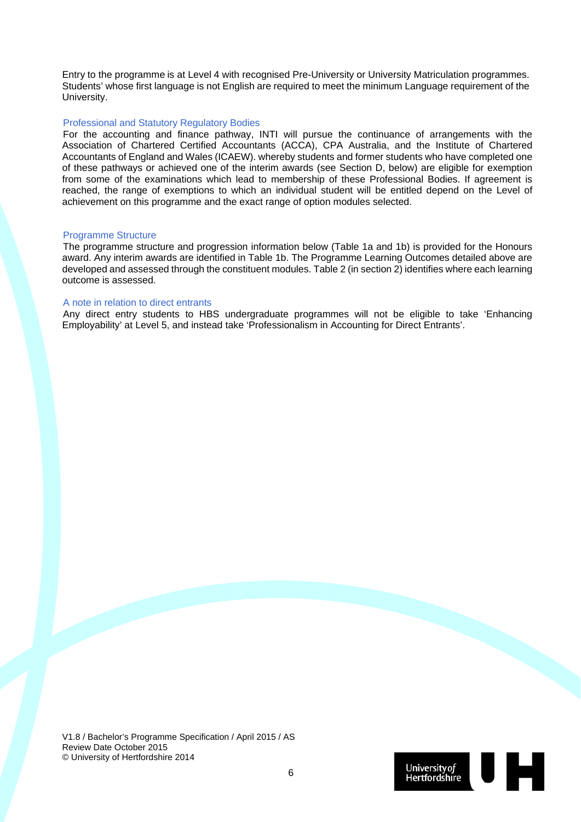Entry to the programme is at Level 4 with recognised Pre-University or University Matriculation programmes. Students' whose first language is not English are required to meet the minimum Language requirement of the University.

#### Professional and Statutory Regulatory Bodies

For the accounting and finance pathway, INTI will pursue the continuance of arrangements with the Association of Chartered Certified Accountants (ACCA), CPA Australia, and the Institute of Chartered Accountants of England and Wales (ICAEW). whereby students and former students who have completed one of these pathways or achieved one of the interim awards (see Section D, below) are eligible for exemption from some of the examinations which lead to membership of these Professional Bodies. If agreement is reached, the range of exemptions to which an individual student will be entitled depend on the Level of achievement on this programme and the exact range of option modules selected.

#### Programme Structure

The programme structure and progression information below (Table 1a and 1b) is provided for the Honours award. Any interim awards are identified in Table 1b. The Programme Learning Outcomes detailed above are developed and assessed through the constituent modules. Table 2 (in section 2) identifies where each learning outcome is assessed.

#### A note in relation to direct entrants

Any direct entry students to HBS undergraduate programmes will not be eligible to take 'Enhancing Employability' at Level 5, and instead take 'Professionalism in Accounting for Direct Entrants'.

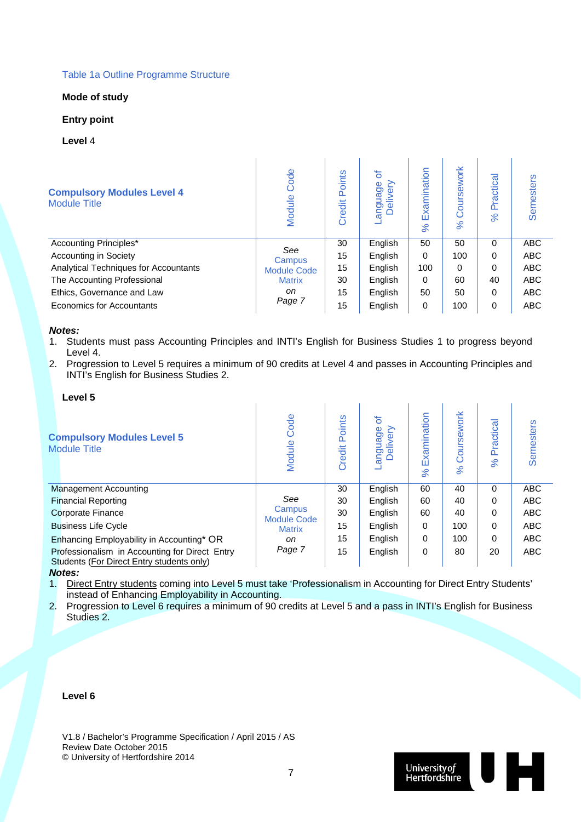#### Table 1a Outline Programme Structure

#### **Mode of study**

#### **Entry point**

#### **Level** 4

| <b>Compulsory Modules Level 4</b><br><b>Module Title</b> | Code<br>Module     | Points<br>Credit | ৳<br>anguage<br>Delivery<br>ΘŊ | Examination<br>ಸ | Coursework<br>$\aleph$ | Practica<br>$\aleph$ | Semesters  |
|----------------------------------------------------------|--------------------|------------------|--------------------------------|------------------|------------------------|----------------------|------------|
| Accounting Principles*                                   | See                | 30               | English                        | 50               | 50                     | 0                    | <b>ABC</b> |
| Accounting in Society                                    | Campus             | 15               | English                        | $\Omega$         | 100                    | 0                    | <b>ABC</b> |
| Analytical Techniques for Accountants                    | <b>Module Code</b> | 15               | English                        | 100              | $\Omega$               | $\Omega$             | <b>ABC</b> |
| The Accounting Professional                              | <b>Matrix</b>      | 30               | English                        | $\Omega$         | 60                     | 40                   | <b>ABC</b> |
| Ethics, Governance and Law                               | on                 | 15               | English                        | 50               | 50                     | $\Omega$             | <b>ABC</b> |
| Economics for Accountants                                | Page 7             | 15               | English                        | 0                | 100                    | 0                    | <b>ABC</b> |

#### *Notes:*

- 1. Students must pass Accounting Principles and INTI's English for Business Studies 1 to progress beyond Level 4.
- 2. Progression to Level 5 requires a minimum of 90 credits at Level 4 and passes in Accounting Principles and INTI's English for Business Studies 2.

| Level 5                                                                                     |                              |                  |                          |                         |                                  |                             |                  |
|---------------------------------------------------------------------------------------------|------------------------------|------------------|--------------------------|-------------------------|----------------------------------|-----------------------------|------------------|
| <b>Compulsory Modules Level 5</b><br><b>Module Title</b>                                    | Code<br>Module               | Points<br>Credit | ৳<br>anguage<br>Delivery | Examination<br>$\aleph$ | oursework<br>Ō<br>8 <sup>o</sup> | Practical<br>8 <sup>o</sup> | <b>Semesters</b> |
| <b>Management Accounting</b>                                                                |                              | 30               | English                  | 60                      | 40                               | $\Omega$                    | <b>ABC</b>       |
| <b>Financial Reporting</b>                                                                  | See                          | 30               | English                  | 60                      | 40                               | 0                           | <b>ABC</b>       |
| <b>Corporate Finance</b>                                                                    | Campus<br><b>Module Code</b> | 30               | English                  | 60                      | 40                               | 0                           | <b>ABC</b>       |
| <b>Business Life Cycle</b>                                                                  | <b>Matrix</b>                | 15               | English                  | $\Omega$                | 100                              | 0                           | <b>ABC</b>       |
| Enhancing Employability in Accounting* OR                                                   | on                           | 15               | English                  | $\Omega$                | 100                              | 0                           | <b>ABC</b>       |
| Professionalism in Accounting for Direct Entry<br>Students (For Direct Entry students only) | Page 7                       | 15               | English                  | 0                       | 80                               | 20                          | <b>ABC</b>       |
| $M$ $A$                                                                                     |                              |                  |                          |                         |                                  |                             |                  |

*Notes:* 

1. Direct Entry students coming into Level 5 must take 'Professionalism in Accounting for Direct Entry Students' instead of Enhancing Employability in Accounting.

2. Progression to Level 6 requires a minimum of 90 credits at Level 5 and a pass in INTI's English for Business Studies 2.

#### **Level 6**

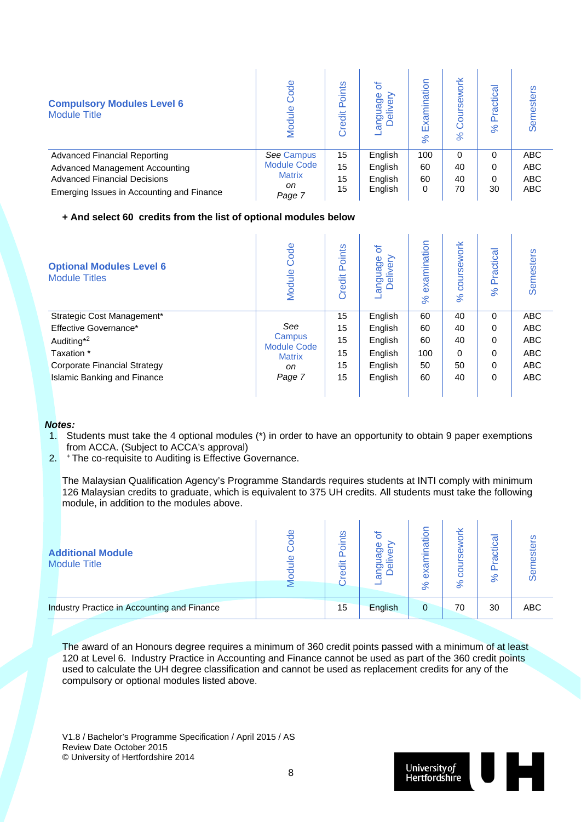| <b>Compulsory Modules Level 6</b><br><b>Module Title</b> | ode<br>$\frac{e}{1}$ | oints<br>o.<br>Credit | ৳<br>Φ<br>శ్రా<br>$\overline{O}$ $\overline{O}$<br>⊂ ∩ | ination<br>Exami<br>8 <sup>o</sup> | ork<br>$\aleph$ | actical<br>Δ<br>$\aleph$ | esters<br>Sen |
|----------------------------------------------------------|----------------------|-----------------------|--------------------------------------------------------|------------------------------------|-----------------|--------------------------|---------------|
| <b>Advanced Financial Reporting</b>                      | <b>See Campus</b>    | 15                    | English                                                | 100                                | 0               | $\Omega$                 | <b>ABC</b>    |
| <b>Advanced Management Accounting</b>                    | <b>Module Code</b>   | 15                    | English                                                | 60                                 | 40              | 0                        | <b>ABC</b>    |
| <b>Advanced Financial Decisions</b>                      | <b>Matrix</b>        | 15                    | English                                                | 60                                 | 40              | 0                        | <b>ABC</b>    |
| Emerging Issues in Accounting and Finance                | on.<br>Page 7        | 15                    | English                                                | 0                                  | 70              | 30                       | <b>ABC</b>    |

#### **+ And select 60 credits from the list of optional modules below**

| <b>Optional Modules Level 6</b><br><b>Module Titles</b> | Code<br>Module               | Points<br>Credit | ৳<br>anguage<br>$\epsilon$<br>≤<br>$\omega$<br>$\subset$ | examination<br>8 <sup>o</sup> | ework<br><b>COUIS</b><br>$\aleph$ | ractica<br>$\Omega$<br>8 <sup>o</sup> | <b>Semesters</b> |
|---------------------------------------------------------|------------------------------|------------------|----------------------------------------------------------|-------------------------------|-----------------------------------|---------------------------------------|------------------|
| Strategic Cost Management*                              |                              | 15               | English                                                  | 60                            | 40                                | 0                                     | <b>ABC</b>       |
| Effective Governance*                                   | See                          | 15               | English                                                  | 60                            | 40                                | 0                                     | <b>ABC</b>       |
| Auditing <sup>*2</sup>                                  | Campus<br><b>Module Code</b> | 15               | English                                                  | 60                            | 40                                | 0                                     | <b>ABC</b>       |
| Taxation *                                              | <b>Matrix</b>                | 15               | English                                                  | 100                           | 0                                 | 0                                     | <b>ABC</b>       |
| <b>Corporate Financial Strategy</b>                     | on                           | 15               | English                                                  | 50                            | 50                                | 0                                     | <b>ABC</b>       |
| <b>Islamic Banking and Finance</b>                      | Page 7                       | 15               | English                                                  | 60                            | 40                                | 0                                     | <b>ABC</b>       |
|                                                         |                              |                  |                                                          |                               |                                   |                                       |                  |

#### *Notes:*

- 1. Students must take the 4 optional modules (\*) in order to have an opportunity to obtain 9 paper exemptions from ACCA. (Subject to ACCA's approval)
- 2. + The co-requisite to Auditing is Effective Governance.

The Malaysian Qualification Agency's Programme Standards requires students at INTI comply with minimum 126 Malaysian credits to graduate, which is equivalent to 375 UH credits. All students must take the following module, in addition to the modules above.

| <b>Additional Module</b><br><b>Module Title</b> | <u>ക്</u><br>$\mathbf{\Phi}$ | oints<br>壱<br>$\bar{\mathbb{O}}$ | Ф<br>0  | ation<br>exa<br>$\aleph$ | ΣĶ<br>മ<br>ဖ<br>$\aleph$ | ctical<br>ᢐ<br>$\aleph$ | stei<br>ၯ  |
|-------------------------------------------------|------------------------------|----------------------------------|---------|--------------------------|--------------------------|-------------------------|------------|
| Industry Practice in Accounting and Finance     |                              | 15                               | English | 0                        | 70                       | 30                      | <b>ABC</b> |

The award of an Honours degree requires a minimum of 360 credit points passed with a minimum of at least 120 at Level 6. Industry Practice in Accounting and Finance cannot be used as part of the 360 credit points used to calculate the UH degree classification and cannot be used as replacement credits for any of the compulsory or optional modules listed above.

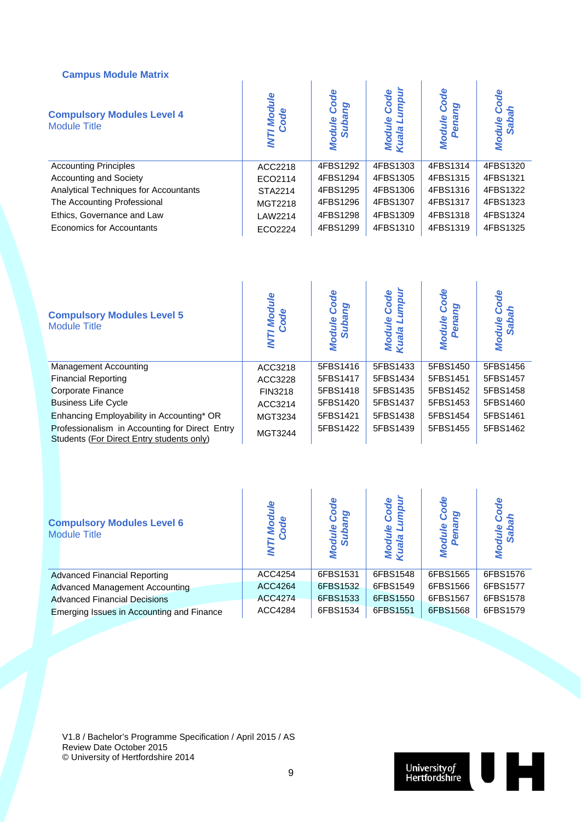#### **Campus Module Matrix**

| Campus module matrix                                     |                         |                                           |                                     |                                      |                             |
|----------------------------------------------------------|-------------------------|-------------------------------------------|-------------------------------------|--------------------------------------|-----------------------------|
| <b>Compulsory Modules Level 4</b><br><b>Module Title</b> | <b>7 Module</b><br>Code | Code<br>ହ<br><b>Module</b><br><b>Suba</b> | umpur<br>Code<br>Module<br>Kuala Lu | Code<br>pa<br><b>Module</b><br>Penar | ode<br>Module<br><b>Sab</b> |
| <b>Accounting Principles</b>                             | ACC2218                 | 4FBS1292                                  | 4FBS1303                            | 4FBS1314                             | 4FBS1320                    |
| <b>Accounting and Society</b>                            | ECO2114                 | 4FBS1294                                  | 4FBS1305                            | 4FBS1315                             | 4FBS1321                    |
| Analytical Techniques for Accountants                    | STA2214                 | 4FBS1295                                  | 4FBS1306                            | 4FBS1316                             | 4FBS1322                    |
| The Accounting Professional                              | MGT2218                 | 4FBS1296                                  | 4FBS1307                            | 4FBS1317                             | 4FBS1323                    |
| Ethics, Governance and Law                               | LAW2214                 | 4FBS1298                                  | 4FBS1309                            | 4FBS1318                             | 4FBS1324                    |
| Economics for Accountants                                | ECO2224                 | 4FBS1299                                  | 4FBS1310                            | 4FBS1319                             | 4FBS1325                    |

| <b>Compulsory Modules Level 5</b><br><b>Module Title</b>                                    | <b>TModule</b><br>Code | <b>Code</b><br>pg<br><b>Suba</b><br>odule<br>ś | umpur<br>Code<br>Module<br>Kuala Lu | <b>Code</b><br>ρη<br><b>Module</b><br>Penar | ode<br><b>Module</b> |
|---------------------------------------------------------------------------------------------|------------------------|------------------------------------------------|-------------------------------------|---------------------------------------------|----------------------|
| <b>Management Accounting</b>                                                                | ACC3218                | 5FBS1416                                       | 5FBS1433                            | 5FBS1450                                    | 5FBS1456             |
| <b>Financial Reporting</b>                                                                  | ACC3228                | 5FBS1417                                       | 5FBS1434                            | 5FBS1451                                    | 5FBS1457             |
| <b>Corporate Finance</b>                                                                    | FIN3218                | 5FBS1418                                       | 5FBS1435                            | 5FBS1452                                    | 5FBS1458             |
| <b>Business Life Cycle</b>                                                                  | ACC3214                | 5FBS1420                                       | 5FBS1437                            | 5FBS1453                                    | 5FBS1460             |
| Enhancing Employability in Accounting* OR                                                   | MGT3234                | 5FBS1421                                       | 5FBS1438                            | 5FBS1454                                    | 5FBS1461             |
| Professionalism in Accounting for Direct Entry<br>Students (For Direct Entry students only) | MGT3244                | 5FBS1422                                       | 5FBS1439                            | 5FBS1455                                    | 5FBS1462             |

| <b>Compulsory Modules Level 6</b><br><b>Module Title</b> | Mod<br>Code    | ρŗ<br><u>ajn</u><br>ಕೆ ವ | <b>Inpur</b><br>Code<br>ule<br>Œ<br>Modu<br>Kuala | ပိ<br>ত<br>odule | Эш       |
|----------------------------------------------------------|----------------|--------------------------|---------------------------------------------------|------------------|----------|
| <b>Advanced Financial Reporting</b>                      | ACC4254        | 6FBS1531                 | 6FBS1548                                          | 6FBS1565         | 6FBS1576 |
| <b>Advanced Management Accounting</b>                    | ACC4264        | 6FBS1532                 | 6FBS1549                                          | 6FBS1566         | 6FBS1577 |
| <b>Advanced Financial Decisions</b>                      | <b>ACC4274</b> | 6FBS1533                 | 6FBS1550                                          | 6FBS1567         | 6FBS1578 |
| Emerging Issues in Accounting and Finance                | ACC4284        | 6FBS1534                 | 6FBS1551                                          | 6FBS1568         | 6FBS1579 |

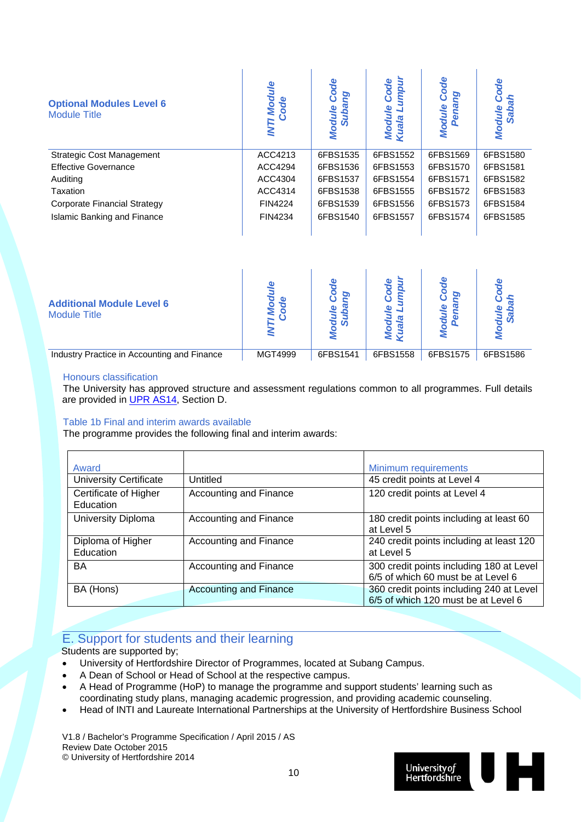| <b>Optional Modules Level 6</b><br><b>Module Title</b> | <b>T Module</b><br>Code<br><b>IVAL</b> | Code<br>ρū<br><b>Module</b><br><b>Suba</b> | umpul<br>Code<br><b>Module</b><br>Kuala Lu | Code<br>ρū<br><b>Module</b><br>Pena | ode<br><b>Module</b> |
|--------------------------------------------------------|----------------------------------------|--------------------------------------------|--------------------------------------------|-------------------------------------|----------------------|
| <b>Strategic Cost Management</b>                       | ACC4213                                | 6FBS1535                                   | 6FBS1552                                   | 6FBS1569                            | 6FBS1580             |
| <b>Effective Governance</b>                            | ACC4294                                | 6FBS1536                                   | 6FBS1553                                   | 6FBS1570                            | 6FBS1581             |
| Auditing                                               | ACC4304                                | 6FBS1537                                   | 6FBS1554                                   | 6FBS1571                            | 6FBS1582             |
| Taxation                                               | ACC4314                                | 6FBS1538                                   | 6FBS1555                                   | 6FBS1572                            | 6FBS1583             |
| <b>Corporate Financial Strategy</b>                    | <b>FIN4224</b>                         | 6FBS1539                                   | 6FBS1556                                   | 6FBS1573                            | 6FBS1584             |
| <b>Islamic Banking and Finance</b>                     | FIN4234                                | 6FBS1540                                   | 6FBS1557                                   | 6FBS1574                            | 6FBS1585             |

| <b>Additional Module Level 6</b><br><b>Module Title</b> |         | O.<br>Φ<br>S |          |          |          |
|---------------------------------------------------------|---------|--------------|----------|----------|----------|
| Industry Practice in Accounting and Finance             | MGT4999 | 6FBS1541     | 6FBS1558 | 6FBS1575 | 6FBS1586 |

#### Honours classification

The University has approved structure and assessment regulations common to all programmes. Full details are provided in UPR AS14, Section D.

#### Table 1b Final and interim awards available

The programme provides the following final and interim awards:

| Award                              |                               | Minimum requirements                                                            |
|------------------------------------|-------------------------------|---------------------------------------------------------------------------------|
| <b>University Certificate</b>      | Untitled                      | 45 credit points at Level 4                                                     |
| Certificate of Higher<br>Education | Accounting and Finance        | 120 credit points at Level 4                                                    |
| <b>University Diploma</b>          | Accounting and Finance        | 180 credit points including at least 60<br>at Level 5                           |
| Diploma of Higher<br>Education     | Accounting and Finance        | 240 credit points including at least 120<br>at Level 5                          |
| BA                                 | Accounting and Finance        | 300 credit points including 180 at Level<br>6/5 of which 60 must be at Level 6  |
| BA (Hons)                          | <b>Accounting and Finance</b> | 360 credit points including 240 at Level<br>6/5 of which 120 must be at Level 6 |

### E. Support for students and their learning

Students are supported by;

- University of Hertfordshire Director of Programmes, located at Subang Campus.
- A Dean of School or Head of School at the respective campus.
- A Head of Programme (HoP) to manage the programme and support students' learning such as coordinating study plans, managing academic progression, and providing academic counseling.
- Head of INTI and Laureate International Partnerships at the University of Hertfordshire Business School

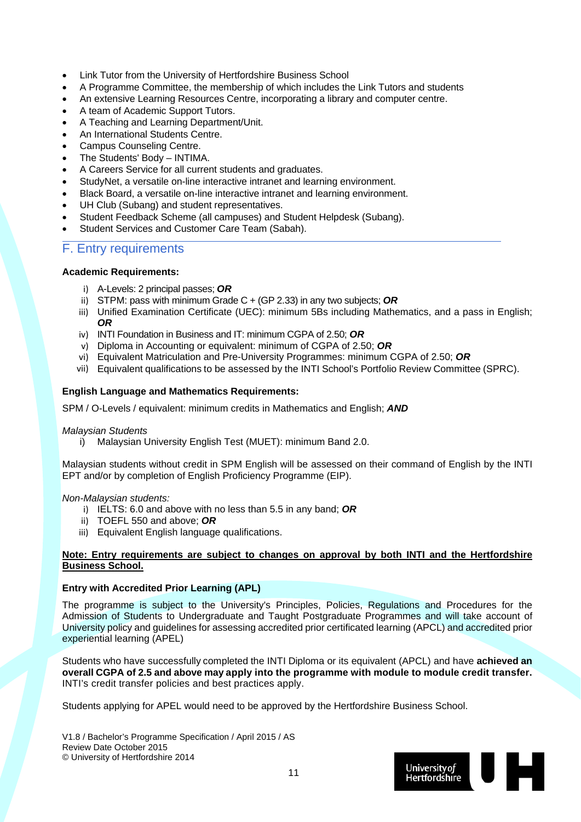- Link Tutor from the University of Hertfordshire Business School
- A Programme Committee, the membership of which includes the Link Tutors and students
- An extensive Learning Resources Centre, incorporating a library and computer centre.
- A team of Academic Support Tutors.
- A Teaching and Learning Department/Unit.
- An International Students Centre.
- Campus Counseling Centre.
- The Students' Body INTIMA.
- A Careers Service for all current students and graduates.
- StudyNet, a versatile on-line interactive intranet and learning environment.
- Black Board, a versatile on-line interactive intranet and learning environment.
- UH Club (Subang) and student representatives.
- Student Feedback Scheme (all campuses) and Student Helpdesk (Subang).
- Student Services and Customer Care Team (Sabah).

#### F. Entry requirements

#### **Academic Requirements:**

- i) A-Levels: 2 principal passes; *OR*
- ii) STPM: pass with minimum Grade C + (GP 2.33) in any two subjects; *OR*
- iii) Unified Examination Certificate (UEC): minimum 5Bs including Mathematics, and a pass in English; *OR*
- iv) INTI Foundation in Business and IT: minimum CGPA of 2.50; *OR*
- v) Diploma in Accounting or equivalent: minimum of CGPA of 2.50; *OR*
- vi) Equivalent Matriculation and Pre-University Programmes: minimum CGPA of 2.50; *OR*
- vii) Equivalent qualifications to be assessed by the INTI School's Portfolio Review Committee (SPRC).

#### **English Language and Mathematics Requirements:**

SPM / O-Levels / equivalent: minimum credits in Mathematics and English; *AND*

#### *Malaysian Students*

i) Malaysian University English Test (MUET): minimum Band 2.0.

Malaysian students without credit in SPM English will be assessed on their command of English by the INTI EPT and/or by completion of English Proficiency Programme (EIP).

#### *Non-Malaysian students:*

- i) IELTS: 6.0 and above with no less than 5.5 in any band; *OR*
- ii) TOEFL 550 and above; *OR*
- iii) Equivalent English language qualifications.

#### **Note: Entry requirements are subject to changes on approval by both INTI and the Hertfordshire Business School.**

#### **Entry with Accredited Prior Learning (APL)**

The programme is subject to the University's Principles, Policies, Regulations and Procedures for the Admission of Students to Undergraduate and Taught Postgraduate Programmes and will take account of University policy and guidelines for assessing accredited prior certificated learning (APCL) and accredited prior experiential learning (APEL)

Students who have successfully completed the INTI Diploma or its equivalent (APCL) and have **achieved an overall CGPA of 2.5 and above may apply into the programme with module to module credit transfer.**  INTI's credit transfer policies and best practices apply.

Students applying for APEL would need to be approved by the Hertfordshire Business School.

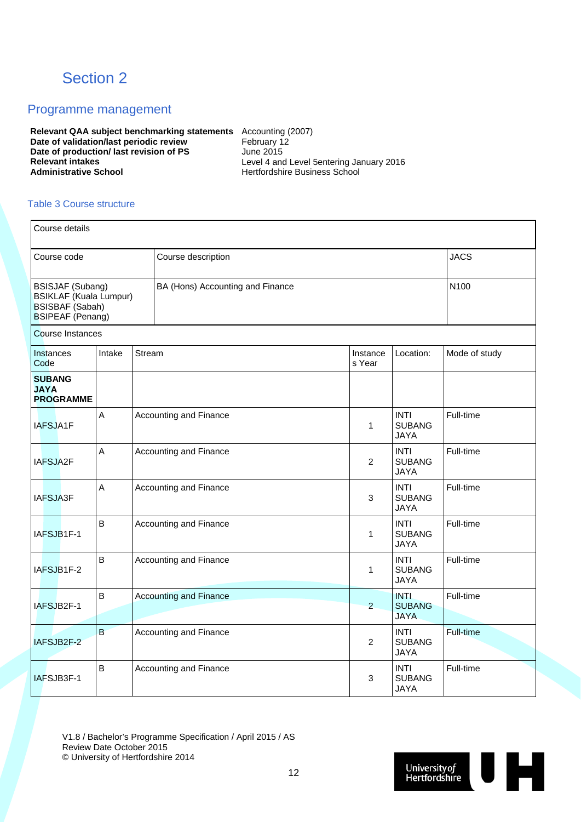## Section 2

#### Programme management

**Relevant QAA subject benchmarking statements** Accounting (2007) **Date of validation/last periodic review February 12 Date of production/ last revision of PS** June 2015<br> **Relevant intakes** Level 4 and **Relevant intakes** <br> **Administrative School Level 4 and Level 5entering January 2016**<br> **Administrative School Level 3 and 2016**<br> **Level 4 and Level 5entering January 2016** 

**Administrative School** Hertfordshire Business School

#### Table 3 Course structure

| Course details                                                                                                |                |        |                                          |                    |                                             |                  |
|---------------------------------------------------------------------------------------------------------------|----------------|--------|------------------------------------------|--------------------|---------------------------------------------|------------------|
| Course code                                                                                                   |                |        | Course description                       |                    | <b>JACS</b>                                 |                  |
| <b>BSISJAF (Subang)</b><br><b>BSIKLAF (Kuala Lumpur)</b><br><b>BSISBAF (Sabah)</b><br><b>BSIPEAF</b> (Penang) | N100           |        |                                          |                    |                                             |                  |
| <b>Course Instances</b>                                                                                       |                |        |                                          |                    |                                             |                  |
| <b>Instances</b><br>Code                                                                                      | Intake         | Stream |                                          | Instance<br>s Year | Location:                                   | Mode of study    |
| <b>SUBANG</b><br><b>JAYA</b><br><b>PROGRAMME</b>                                                              |                |        |                                          |                    |                                             |                  |
| IAFSJA1F                                                                                                      | $\overline{A}$ |        | Accounting and Finance                   | 1                  | <b>INTI</b><br><b>SUBANG</b><br><b>JAYA</b> | Full-time        |
| IAFSJA2F                                                                                                      | $\overline{A}$ |        | Accounting and Finance<br>$\overline{2}$ |                    | <b>INTI</b><br><b>SUBANG</b><br><b>JAYA</b> | Full-time        |
| <b>IAFSJA3F</b>                                                                                               | A              |        | Accounting and Finance                   | 3                  | <b>INTI</b><br><b>SUBANG</b><br><b>JAYA</b> | Full-time        |
| IAFSJB1F-1                                                                                                    | B              |        | Accounting and Finance                   | 1                  | <b>INTI</b><br><b>SUBANG</b><br><b>JAYA</b> | Full-time        |
| IAFSJB1F-2                                                                                                    | $\overline{B}$ |        | Accounting and Finance                   | 1                  | <b>INTI</b><br><b>SUBANG</b><br><b>JAYA</b> | Full-time        |
| IAFSJB2F-1                                                                                                    | $\overline{B}$ |        | <b>Accounting and Finance</b>            | $\overline{2}$     | <b>INTI</b><br><b>SUBANG</b><br><b>JAYA</b> | Full-time        |
| IAFSJB2F-2                                                                                                    | B              |        | Accounting and Finance                   | $\overline{c}$     | <b>INTI</b><br><b>SUBANG</b><br><b>JAYA</b> | <b>Full-time</b> |
| IAFSJB3F-1                                                                                                    | $\overline{B}$ |        | Accounting and Finance                   | 3                  | <b>INTI</b><br><b>SUBANG</b><br><b>JAYA</b> | Full-time        |

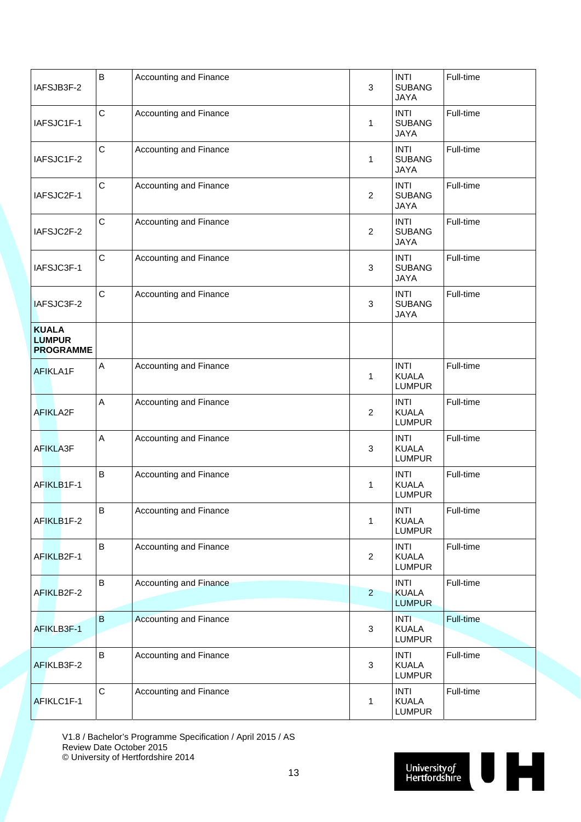| IAFSJB3F-2                                        | $\mathsf B$  | Accounting and Finance        | 3              | <b>INTI</b><br><b>SUBANG</b><br><b>JAYA</b>  | Full-time |
|---------------------------------------------------|--------------|-------------------------------|----------------|----------------------------------------------|-----------|
| IAFSJC1F-1                                        | $\mathsf{C}$ | Accounting and Finance        | 1              | <b>INTI</b><br><b>SUBANG</b><br><b>JAYA</b>  | Full-time |
| IAFSJC1F-2                                        | $\mathsf C$  | Accounting and Finance        | 1              | <b>INTI</b><br><b>SUBANG</b><br><b>JAYA</b>  | Full-time |
| IAFSJC2F-1                                        | C            | Accounting and Finance        | $\overline{2}$ | <b>INTI</b><br><b>SUBANG</b><br><b>JAYA</b>  | Full-time |
| IAFSJC2F-2                                        | $\mathsf{C}$ | Accounting and Finance        | $\overline{c}$ | <b>INTI</b><br><b>SUBANG</b><br><b>JAYA</b>  | Full-time |
| IAFSJC3F-1                                        | $\mathsf C$  | Accounting and Finance        | 3              | <b>INTI</b><br><b>SUBANG</b><br><b>JAYA</b>  | Full-time |
| IAFSJC3F-2                                        | $\mathsf C$  | Accounting and Finance        | 3              | <b>INTI</b><br><b>SUBANG</b><br><b>JAYA</b>  | Full-time |
| <b>KUALA</b><br><b>LUMPUR</b><br><b>PROGRAMME</b> |              |                               |                |                                              |           |
| AFIKLA1F                                          | A            | Accounting and Finance        | 1              | <b>INTI</b><br><b>KUALA</b><br><b>LUMPUR</b> | Full-time |
| AFIKLA2F                                          | $\mathsf A$  | Accounting and Finance        | $\overline{c}$ | <b>INTI</b><br><b>KUALA</b><br><b>LUMPUR</b> | Full-time |
| AFIKLA3F                                          | $\mathsf A$  | Accounting and Finance        | 3              | <b>INTI</b><br><b>KUALA</b><br><b>LUMPUR</b> | Full-time |
| AFIKLB1F-1                                        | $\sf{B}$     | Accounting and Finance        | 1              | <b>INTI</b><br><b>KUALA</b><br><b>LUMPUR</b> | Full-time |
| AFIKLB1F-2                                        | B            | Accounting and Finance        | 1              | <b>INTI</b><br><b>KUALA</b><br><b>LUMPUR</b> | Full-time |
| AFIKLB2F-1                                        | $\sf B$      | Accounting and Finance        | $\overline{c}$ | <b>INTI</b><br><b>KUALA</b><br><b>LUMPUR</b> | Full-time |
| AFIKLB2F-2                                        | $\sf B$      | <b>Accounting and Finance</b> | $\overline{2}$ | <b>INTI</b><br><b>KUALA</b><br><b>LUMPUR</b> | Full-time |
| AFIKLB3F-1                                        | $\mathbf{B}$ | <b>Accounting and Finance</b> | $\mathbf{3}$   | <b>INTI</b><br><b>KUALA</b><br><b>LUMPUR</b> | Full-time |
| AFIKLB3F-2                                        | $\sf B$      | Accounting and Finance        | $\mathbf{3}$   | <b>INTI</b><br><b>KUALA</b><br><b>LUMPUR</b> | Full-time |
| AFIKLC1F-1                                        | $\mathsf C$  | Accounting and Finance        | 1              | <b>INTI</b><br><b>KUALA</b><br><b>LUMPUR</b> | Full-time |

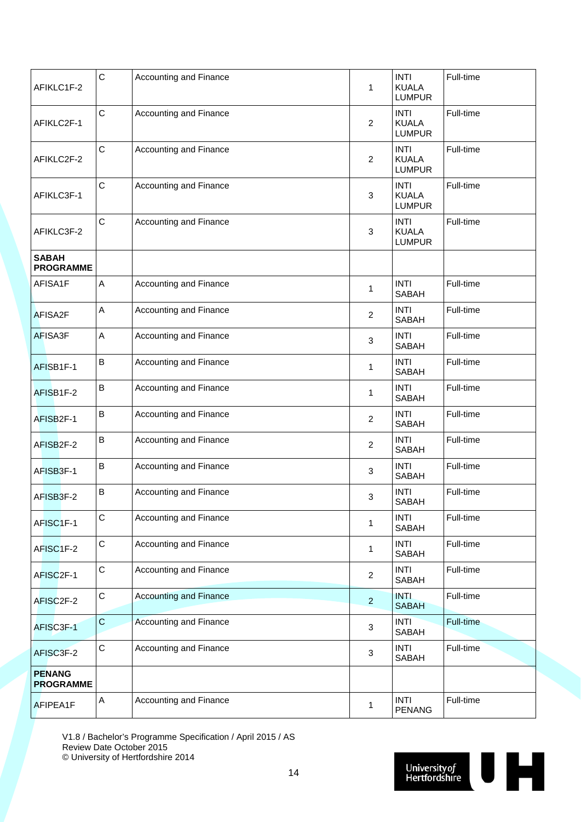| AFIKLC1F-2                        | $\mathsf{C}$              | Accounting and Finance        | 1                       | <b>INTI</b><br><b>KUALA</b><br><b>LUMPUR</b> | Full-time |  |  |  |  |
|-----------------------------------|---------------------------|-------------------------------|-------------------------|----------------------------------------------|-----------|--|--|--|--|
| AFIKLC2F-1                        | $\mathsf{C}$              | Accounting and Finance        | 2                       | <b>INTI</b><br><b>KUALA</b><br><b>LUMPUR</b> | Full-time |  |  |  |  |
| AFIKLC2F-2                        | $\mathsf C$               | <b>Accounting and Finance</b> | 2                       | <b>INTI</b><br><b>KUALA</b><br><b>LUMPUR</b> | Full-time |  |  |  |  |
| AFIKLC3F-1                        | $\mathsf C$               | <b>Accounting and Finance</b> | 3                       | <b>INTI</b><br><b>KUALA</b><br><b>LUMPUR</b> | Full-time |  |  |  |  |
| AFIKLC3F-2                        | $\mathsf{C}$              | Accounting and Finance        | 3                       | <b>INTI</b><br><b>KUALA</b><br><b>LUMPUR</b> | Full-time |  |  |  |  |
| <b>SABAH</b><br><b>PROGRAMME</b>  |                           |                               |                         |                                              |           |  |  |  |  |
| AFISA1F                           | $\boldsymbol{\mathsf{A}}$ | Accounting and Finance        | 1                       | <b>INTI</b><br><b>SABAH</b>                  | Full-time |  |  |  |  |
| AFISA2F                           | A                         | Accounting and Finance        | 2                       | <b>INTI</b><br><b>SABAH</b>                  | Full-time |  |  |  |  |
| AFISA3F                           | A                         | Accounting and Finance        | 3                       | <b>INTI</b><br><b>SABAH</b>                  | Full-time |  |  |  |  |
| AFISB1F-1                         | B                         | Accounting and Finance        | 1                       | <b>INTI</b><br><b>SABAH</b>                  | Full-time |  |  |  |  |
| AFISB1F-2                         | $\sf B$                   | Accounting and Finance        | 1                       | <b>INTI</b><br><b>SABAH</b>                  | Full-time |  |  |  |  |
| AFISB2F-1                         | B                         | Accounting and Finance        | 2                       | <b>INTI</b><br><b>SABAH</b>                  | Full-time |  |  |  |  |
| AFISB2F-2                         | B                         | <b>Accounting and Finance</b> | 2                       | <b>INTI</b><br><b>SABAH</b>                  | Full-time |  |  |  |  |
| AFISB3F-1                         | B                         | Accounting and Finance        | 3                       | <b>INTI</b><br>SABAH                         | Full-time |  |  |  |  |
| AFISB3F-2                         | B                         | Accounting and Finance        | 3                       | <b>INTI</b><br><b>SABAH</b>                  | Full-time |  |  |  |  |
| AFISC1F-1                         | $\mathsf C$               | Accounting and Finance        | 1                       | <b>INTI</b><br><b>SABAH</b>                  | Full-time |  |  |  |  |
| AFISC1F-2                         | $\mathsf C$               | Accounting and Finance        | 1                       | <b>INTI</b><br>SABAH                         | Full-time |  |  |  |  |
| AFISC2F-1                         | $\mathsf C$               | Accounting and Finance        | $\overline{\mathbf{c}}$ | <b>INTI</b><br>SABAH                         | Full-time |  |  |  |  |
| AFISC2F-2                         | $\mathsf C$               | <b>Accounting and Finance</b> | $\overline{a}$          | <b>INTI</b><br><b>SABAH</b>                  | Full-time |  |  |  |  |
| AFISC3F-1                         | $\mathbf C$               | Accounting and Finance        | 3                       | <b>INTI</b><br>SABAH                         | Full-time |  |  |  |  |
| AFISC3F-2                         | $\mathsf C$               | Accounting and Finance        | 3                       | <b>INTI</b><br>SABAH                         | Full-time |  |  |  |  |
| <b>PENANG</b><br><b>PROGRAMME</b> |                           |                               |                         |                                              |           |  |  |  |  |
| AFIPEA1F                          | A                         | Accounting and Finance        | 1                       | <b>INTI</b><br><b>PENANG</b>                 | Full-time |  |  |  |  |

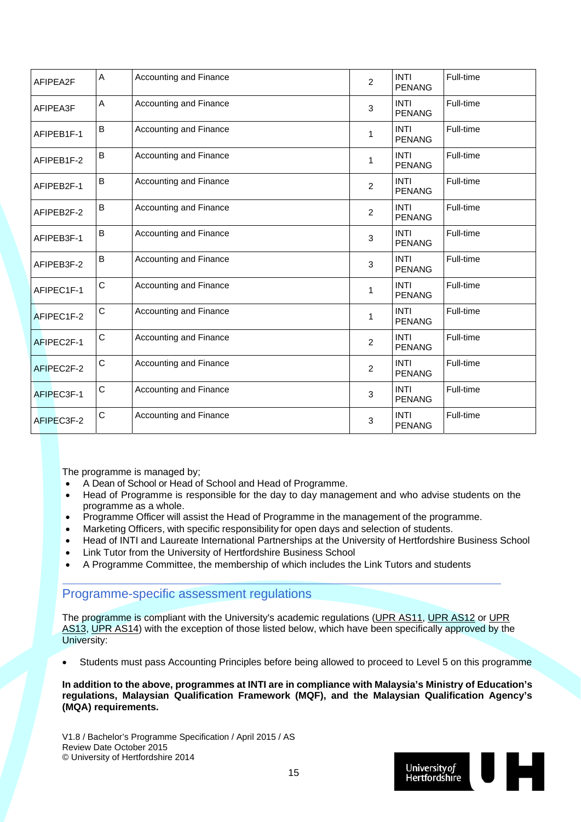| AFIPEA2F   | A<br>Accounting and Finance |                        | $\overline{2}$ | <b>INTI</b><br><b>PENANG</b> | Full-time |  |
|------------|-----------------------------|------------------------|----------------|------------------------------|-----------|--|
| AFIPEA3F   | A                           | Accounting and Finance | 3              | <b>INTI</b><br><b>PENANG</b> | Full-time |  |
| AFIPEB1F-1 | B                           | Accounting and Finance | 1              | <b>INTI</b><br><b>PENANG</b> | Full-time |  |
| AFIPEB1F-2 | B                           | Accounting and Finance | 1              | <b>INTI</b><br><b>PENANG</b> | Full-time |  |
| AFIPEB2F-1 | B                           | Accounting and Finance | $\overline{2}$ | <b>INTI</b><br><b>PENANG</b> | Full-time |  |
| AFIPEB2F-2 | B                           | Accounting and Finance | $\overline{c}$ | <b>INTI</b><br><b>PENANG</b> | Full-time |  |
| AFIPEB3F-1 | B                           | Accounting and Finance | 3              | <b>INTI</b><br><b>PENANG</b> | Full-time |  |
| AFIPEB3F-2 | B                           | Accounting and Finance | 3              | <b>INTI</b><br><b>PENANG</b> | Full-time |  |
| AFIPEC1F-1 | $\mathsf C$                 | Accounting and Finance | 1              | <b>INTI</b><br><b>PENANG</b> | Full-time |  |
| AFIPEC1F-2 | $\mathsf C$                 | Accounting and Finance | 1              | <b>INTI</b><br><b>PENANG</b> | Full-time |  |
| AFIPEC2F-1 | $\mathsf C$                 | Accounting and Finance | $\overline{2}$ | <b>INTI</b><br><b>PENANG</b> | Full-time |  |
| AFIPEC2F-2 | $\mathsf C$                 | Accounting and Finance | $\overline{2}$ | <b>INTI</b><br><b>PENANG</b> | Full-time |  |
| AFIPEC3F-1 | $\mathsf C$                 | Accounting and Finance | 3              | <b>INTI</b><br><b>PENANG</b> | Full-time |  |
| AFIPEC3F-2 | $\mathsf C$                 | Accounting and Finance | 3              | <b>INTI</b><br><b>PENANG</b> | Full-time |  |

The programme is managed by;

- A Dean of School or Head of School and Head of Programme.
- Head of Programme is responsible for the day to day management and who advise students on the programme as a whole.
- Programme Officer will assist the Head of Programme in the management of the programme.
- Marketing Officers, with specific responsibility for open days and selection of students.
- Head of INTI and Laureate International Partnerships at the University of Hertfordshire Business School
- Link Tutor from the University of Hertfordshire Business School
- A Programme Committee, the membership of which includes the Link Tutors and students

### Programme-specific assessment regulations

The programme is compliant with the University's academic regulations (UPR AS11, UPR AS12 or UPR AS13, UPR AS14) with the exception of those listed below, which have been specifically approved by the University:

Students must pass Accounting Principles before being allowed to proceed to Level 5 on this programme

**In addition to the above, programmes at INTI are in compliance with Malaysia's Ministry of Education's regulations, Malaysian Qualification Framework (MQF), and the Malaysian Qualification Agency's (MQA) requirements.** 

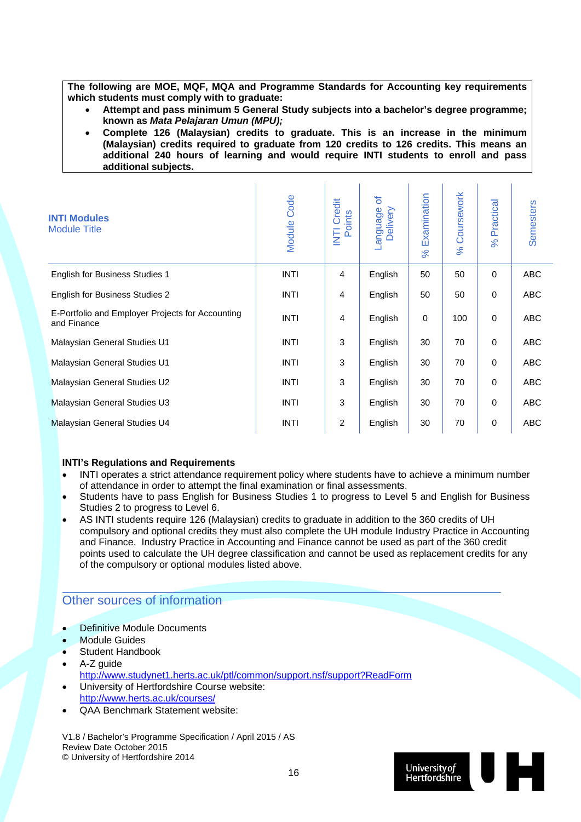**The following are MOE, MQF, MQA and Programme Standards for Accounting key requirements which students must comply with to graduate:** 

- **Attempt and pass minimum 5 General Study subjects into a bachelor's degree programme; known as** *Mata Pelajaran Umun (MPU);*
- **Complete 126 (Malaysian) credits to graduate. This is an increase in the minimum (Malaysian) credits required to graduate from 120 credits to 126 credits. This means an additional 240 hours of learning and would require INTI students to enroll and pass additional subjects.**

| <b>INTI Modules</b><br><b>Module Title</b>                      | Module Code | Credit<br>Points<br>E | ð<br>Delivery<br>anguage | Examination<br>$\aleph$ | Coursework<br>$\aleph$ | Practical<br>$\%$ | <b>Semesters</b> |
|-----------------------------------------------------------------|-------------|-----------------------|--------------------------|-------------------------|------------------------|-------------------|------------------|
| <b>English for Business Studies 1</b>                           | <b>INTI</b> | $\overline{4}$        | English                  | 50                      | 50                     | $\mathbf 0$       | <b>ABC</b>       |
| <b>English for Business Studies 2</b>                           | <b>INTI</b> | 4                     | English                  | 50                      | 50                     | $\mathbf 0$       | ABC              |
| E-Portfolio and Employer Projects for Accounting<br>and Finance | <b>INTI</b> | 4                     | English                  | $\mathbf 0$             | 100                    | $\mathbf 0$       | <b>ABC</b>       |
| Malaysian General Studies U1                                    | <b>INTI</b> | 3                     | English                  | 30                      | 70                     | $\mathbf 0$       | <b>ABC</b>       |
| Malaysian General Studies U1                                    | <b>INTI</b> | 3                     | English                  | 30                      | 70                     | $\mathbf 0$       | <b>ABC</b>       |
| Malaysian General Studies U2                                    | <b>INTI</b> | 3                     | English                  | 30                      | 70                     | $\mathbf 0$       | ABC              |
| Malaysian General Studies U3                                    | <b>INTI</b> | 3                     | English                  | 30                      | 70                     | $\mathbf 0$       | <b>ABC</b>       |
| Malaysian General Studies U4                                    | <b>INTI</b> | $\overline{2}$        | English                  | 30                      | 70                     | 0                 | <b>ABC</b>       |

#### **INTI's Regulations and Requirements**

- INTI operates a strict attendance requirement policy where students have to achieve a minimum number of attendance in order to attempt the final examination or final assessments.
- Students have to pass English for Business Studies 1 to progress to Level 5 and English for Business Studies 2 to progress to Level 6.
- AS INTI students require 126 (Malaysian) credits to graduate in addition to the 360 credits of UH compulsory and optional credits they must also complete the UH module Industry Practice in Accounting and Finance. Industry Practice in Accounting and Finance cannot be used as part of the 360 credit points used to calculate the UH degree classification and cannot be used as replacement credits for any of the compulsory or optional modules listed above.

### Other sources of information

- Definitive Module Documents
- Module Guides
- Student Handbook
- A-Z guide http://www.studynet1.herts.ac.uk/ptl/common/support.nsf/support?ReadForm University of Hertfordshire Course website:
- http://www.herts.ac.uk/courses/
- QAA Benchmark Statement website:

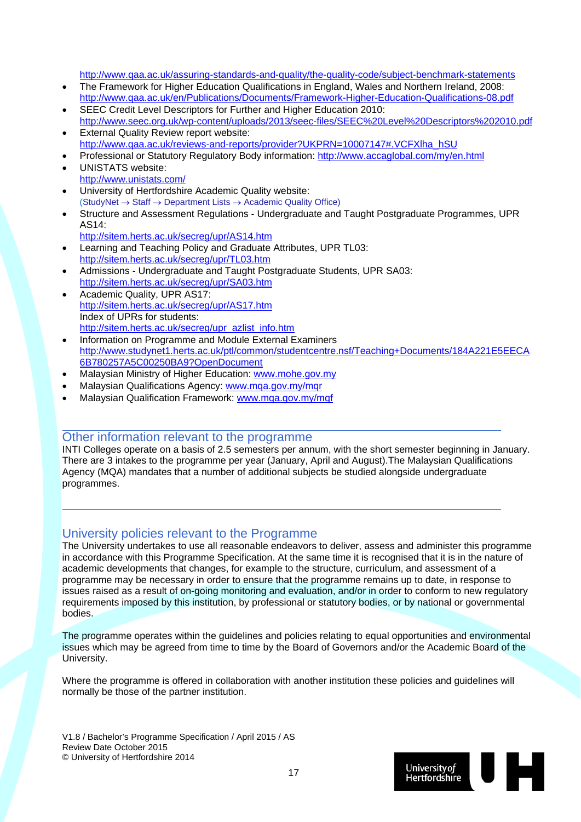http://www.qaa.ac.uk/assuring-standards-and-quality/the-quality-code/subject-benchmark-statements

- The Framework for Higher Education Qualifications in England, Wales and Northern Ireland, 2008: http://www.qaa.ac.uk/en/Publications/Documents/Framework-Higher-Education-Qualifications-08.pdf
- SEEC Credit Level Descriptors for Further and Higher Education 2010: http://www.seec.org.uk/wp-content/uploads/2013/seec-files/SEEC%20Level%20Descriptors%202010.pdf
- External Quality Review report website: http://www.qaa.ac.uk/reviews-and-reports/provider?UKPRN=10007147#.VCFXlha\_hSU
- Professional or Statutory Regulatory Body information: http://www.accaglobal.com/my/en.html
- UNISTATS website: http://www.unistats.com/
- University of Hertfordshire Academic Quality website:  $(StudyNet \rightarrow Staff \rightarrow Department Lists \rightarrow Academic Quality Office)$
- Structure and Assessment Regulations Undergraduate and Taught Postgraduate Programmes, UPR AS14:
	- http://sitem.herts.ac.uk/secreg/upr/AS14.htm
- Learning and Teaching Policy and Graduate Attributes, UPR TL03: http://sitem.herts.ac.uk/secreg/upr/TL03.htm
- Admissions Undergraduate and Taught Postgraduate Students, UPR SA03: http://sitem.herts.ac.uk/secreg/upr/SA03.htm
- Academic Quality, UPR AS17: http://sitem.herts.ac.uk/secreg/upr/AS17.htm Index of UPRs for students: http://sitem.herts.ac.uk/secreg/upr\_azlist\_info.htm
- Information on Programme and Module External Examiners http://www.studynet1.herts.ac.uk/ptl/common/studentcentre.nsf/Teaching+Documents/184A221E5EECA 6B780257A5C00250BA9?OpenDocument
- Malaysian Ministry of Higher Education: www.mohe.gov.my
- Malaysian Qualifications Agency: www.mqa.gov.my/mqr
- Malaysian Qualification Framework: www.mqa.gov.my/mqf

#### Other information relevant to the programme

INTI Colleges operate on a basis of 2.5 semesters per annum, with the short semester beginning in January. There are 3 intakes to the programme per year (January, April and August).The Malaysian Qualifications Agency (MQA) mandates that a number of additional subjects be studied alongside undergraduate programmes.

### University policies relevant to the Programme

The University undertakes to use all reasonable endeavors to deliver, assess and administer this programme in accordance with this Programme Specification. At the same time it is recognised that it is in the nature of academic developments that changes, for example to the structure, curriculum, and assessment of a programme may be necessary in order to ensure that the programme remains up to date, in response to issues raised as a result of on-going monitoring and evaluation, and/or in order to conform to new regulatory requirements imposed by this institution, by professional or statutory bodies, or by national or governmental bodies.

The programme operates within the guidelines and policies relating to equal opportunities and environmental issues which may be agreed from time to time by the Board of Governors and/or the Academic Board of the University.

Where the programme is offered in collaboration with another institution these policies and guidelines will normally be those of the partner institution.

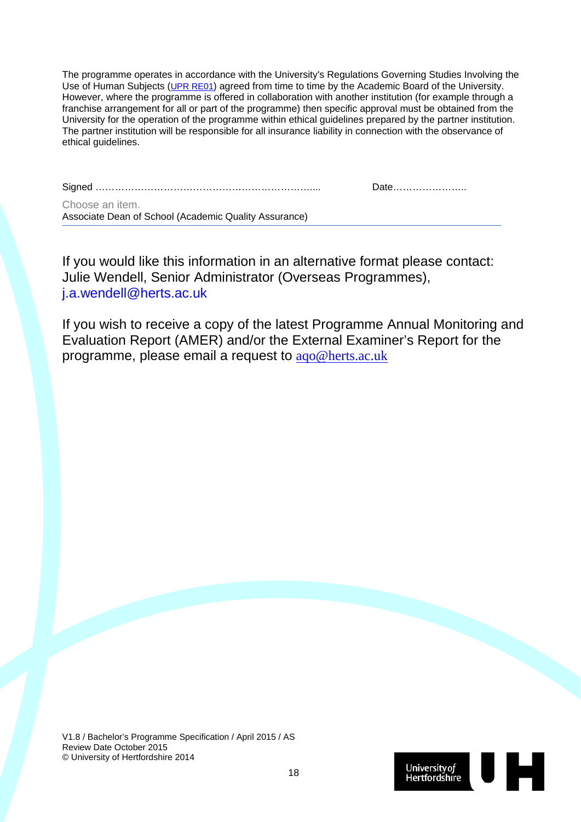The programme operates in accordance with the University's Regulations Governing Studies Involving the Use of Human Subjects (UPR RE01) agreed from time to time by the Academic Board of the University. However, where the programme is offered in collaboration with another institution (for example through a franchise arrangement for all or part of the programme) then specific approval must be obtained from the University for the operation of the programme within ethical guidelines prepared by the partner institution. The partner institution will be responsible for all insurance liability in connection with the observance of ethical guidelines.

Signed ………………………………………………………….... Date…………………..

Choose an item. Associate Dean of School (Academic Quality Assurance)

If you would like this information in an alternative format please contact: Julie Wendell, Senior Administrator (Overseas Programmes), j.a.wendell@herts.ac.uk

If you wish to receive a copy of the latest Programme Annual Monitoring and Evaluation Report (AMER) and/or the External Examiner's Report for the programme, please email a request to aqo@herts.ac.uk

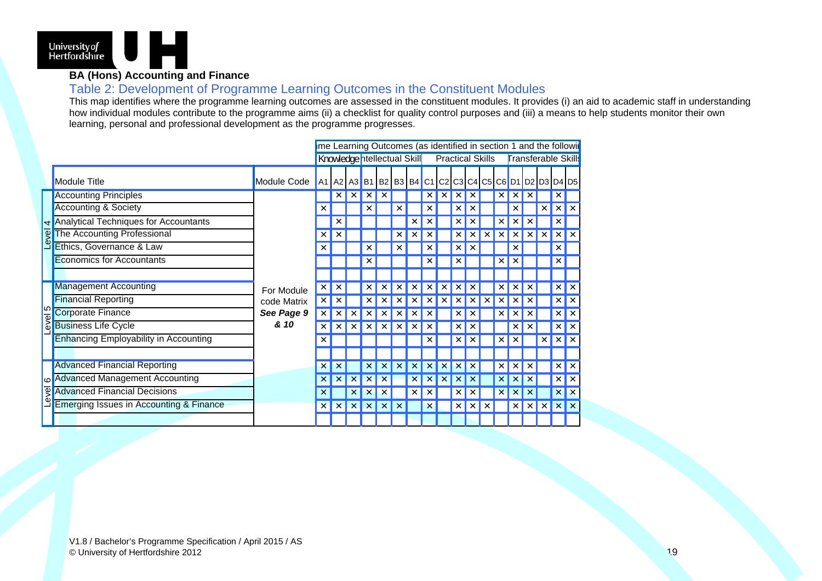

### **BA (Hons) Accounting and Finance**

### Table 2: Development of Programme Learning Outcomes in the Constituent Modules

This map identifies where the programme learning outcomes are assessed in the constituent modules. It provides (i) an aid to academic staff in understanding how individual modules contribute to the programme aims (ii) a checklist for quality control purposes and (iii) a means to help students monitor their own learning, personal and professional development as the programme progresses.

|                |                                              |             |              |                           |                           |   | me Learning Outcomes (as identified in section 1 and the followir |  |                         |   |  |                            |   |                           |                           |
|----------------|----------------------------------------------|-------------|--------------|---------------------------|---------------------------|---|-------------------------------------------------------------------|--|-------------------------|---|--|----------------------------|---|---------------------------|---------------------------|
|                |                                              |             |              |                           |                           |   | Knowledge ntellectual Skill                                       |  | <b>Practical Skills</b> |   |  | <b>Transferable Skills</b> |   |                           |                           |
|                | Module Title                                 | Module Code |              |                           |                           |   | A1 A2 A3 B1 B2 B3 B4 C1 C2 C3 C4 C5 C6 D1 D2 D3 D4 D5             |  |                         |   |  |                            |   |                           |                           |
|                | <b>Accounting Principles</b>                 |             |              |                           |                           |   |                                                                   |  |                         |   |  |                            |   | $\times$                  |                           |
|                | Accounting & Society                         |             | ×            |                           |                           |   |                                                                   |  |                         |   |  |                            |   | $\times$                  | $\boldsymbol{\times}$     |
| $\overline{4}$ | <b>Analytical Techniques for Accountants</b> |             |              |                           |                           |   |                                                                   |  |                         |   |  |                            |   | ×                         |                           |
| Level          | The Accounting Professional                  |             | ×            |                           |                           |   |                                                                   |  |                         |   |  |                            |   | ×                         | $\boldsymbol{\mathsf{x}}$ |
|                | Ethics, Governance & Law                     |             | ×            |                           |                           |   |                                                                   |  |                         |   |  |                            |   | $\times$                  |                           |
|                | <b>Economics for Accountants</b>             |             |              |                           |                           |   |                                                                   |  |                         |   |  |                            |   | ×                         |                           |
|                |                                              |             |              |                           |                           |   |                                                                   |  |                         |   |  |                            |   |                           |                           |
|                | <b>Management Accounting</b>                 | For Module  | ×            |                           |                           |   |                                                                   |  |                         |   |  |                            |   | $\times$                  | x                         |
|                | <b>Financial Reporting</b>                   | code Matrix | ×            |                           |                           |   |                                                                   |  |                         |   |  |                            |   | $\times$                  | $\boldsymbol{\times}$     |
| evel 5         | Corporate Finance                            | See Page 9  | ×            |                           |                           |   |                                                                   |  |                         |   |  |                            |   | $\boldsymbol{\mathsf{x}}$ | $\boldsymbol{\times}$     |
|                | <b>Business Life Cycle</b>                   | & 10        | x            |                           |                           |   |                                                                   |  |                         |   |  |                            |   | $\times$                  | l x                       |
|                | <b>Enhancing Employability in Accounting</b> |             | x            |                           |                           |   |                                                                   |  |                         |   |  |                            |   | $\times$                  | l x                       |
|                |                                              |             |              |                           |                           |   |                                                                   |  |                         |   |  |                            |   |                           |                           |
|                | <b>Advanced Financial Reporting</b>          |             | ×            |                           |                           |   |                                                                   |  |                         |   |  |                            |   | $\times$                  | $\boldsymbol{\times}$     |
| <u>ဖ</u>       | <b>Advanced Management Accounting</b>        |             |              |                           |                           |   |                                                                   |  |                         |   |  |                            |   | $\times$                  | $\times$                  |
| <b>leve</b>    | <b>Advanced Financial Decisions</b>          |             | x            |                           | ×                         |   |                                                                   |  |                         |   |  |                            | × | $\boldsymbol{\mathsf{x}}$ | $\boldsymbol{\times}$     |
|                | Emerging Issues in Accounting & Finance      |             | $\mathsf{x}$ | $\boldsymbol{\mathsf{x}}$ | $\boldsymbol{\mathsf{x}}$ | × |                                                                   |  |                         | × |  | ×                          | × | $\boldsymbol{\times}$     | l x                       |
|                |                                              |             |              |                           |                           |   |                                                                   |  |                         |   |  |                            |   |                           |                           |